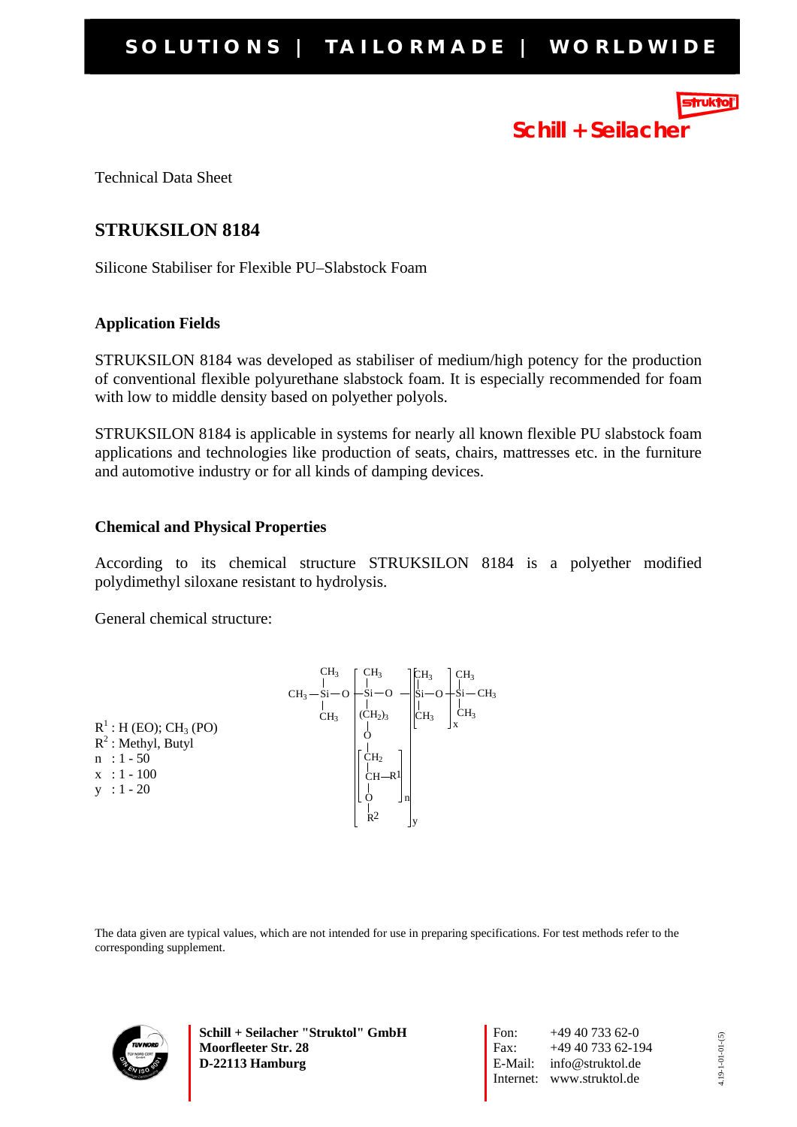

# **Schill + Seilacher**

Technical Data Sheet

# **STRUKSILON 8184**

Silicone Stabiliser for Flexible PU–Slabstock Foam

## **Application Fields**

STRUKSILON 8184 was developed as stabiliser of medium/high potency for the production of conventional flexible polyurethane slabstock foam. It is especially recommended for foam with low to middle density based on polyether polyols.

STRUKSILON 8184 is applicable in systems for nearly all known flexible PU slabstock foam applications and technologies like production of seats, chairs, mattresses etc. in the furniture and automotive industry or for all kinds of damping devices.

## **Chemical and Physical Properties**

According to its chemical structure STRUKSILON 8184 is a polyether modified polydimethyl siloxane resistant to hydrolysis.

General chemical structure:

|                                      | CH <sub>3</sub> | CH <sub>3</sub>           | CH <sub>3</sub> | CH <sub>3</sub> |
|--------------------------------------|-----------------|---------------------------|-----------------|-----------------|
|                                      | $CH3-Si-O$      | -Ši—                      | Ši−O            | †Ši−CH3         |
|                                      | CH <sub>3</sub> | $\overrightarrow{CH_2}_3$ | CH <sub>3</sub> | CH <sub>3</sub> |
| $R^1$ : H (EO); CH <sub>3</sub> (PO) |                 |                           |                 |                 |
| $R^2$ : Methyl, Butyl                |                 |                           |                 |                 |
| $n : 1 - 50$                         |                 | CH <sub>2</sub>           |                 |                 |
| $x : 1 - 100$                        |                 | $CH-R1$                   |                 |                 |
| $y : 1 - 20$                         |                 | n                         |                 |                 |
|                                      |                 | R <sup>2</sup>            |                 |                 |
|                                      |                 |                           |                 |                 |

The data given are typical values, which are not intended for use in preparing specifications. For test methods refer to the corresponding supplement.



**Schill + Seilacher "Struktol" GmbH Moorfleeter Str. 28 D-22113 Hamburg** 

Fon:  $+49\,40\,733\,62-0$ Fax: +49 40 733 62-194 E-Mail: info@struktol.de Internet: www.struktol.de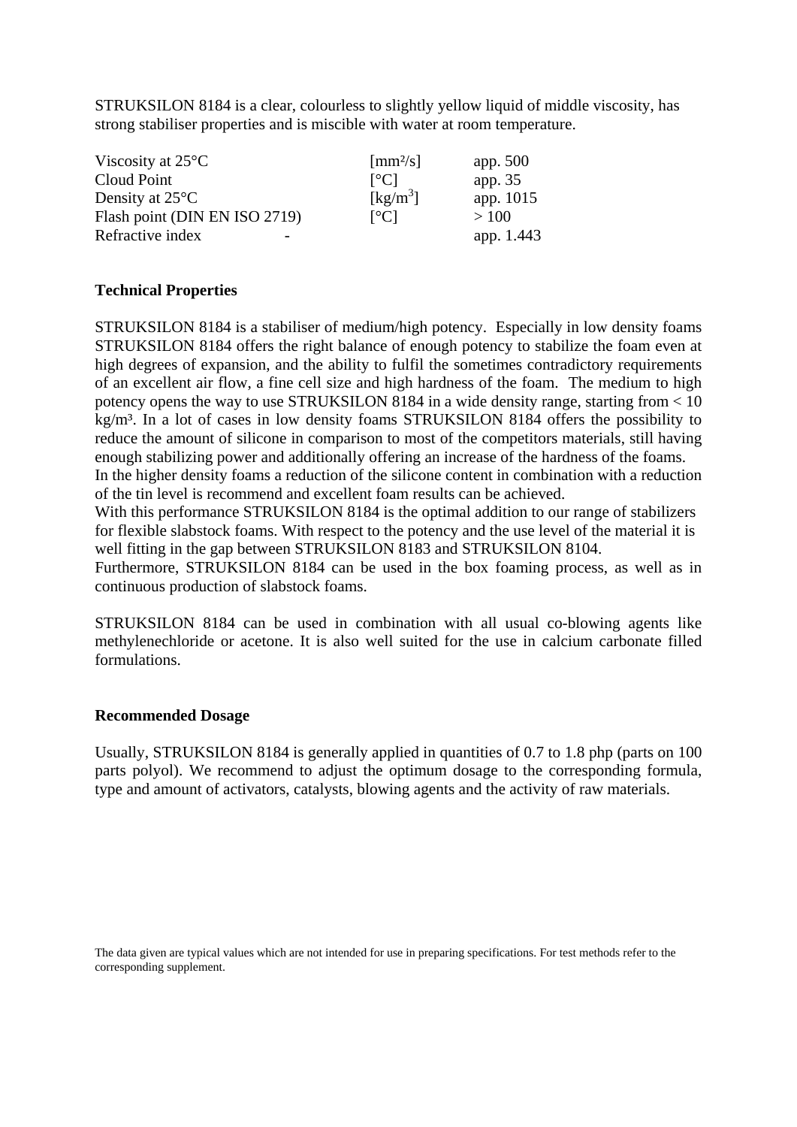STRUKSILON 8184 is a clear, colourless to slightly yellow liquid of middle viscosity, has strong stabiliser properties and is miscible with water at room temperature.

| Viscosity at $25^{\circ}$ C   | $\lceil$ mm <sup>2</sup> /s]         | app. 500   |
|-------------------------------|--------------------------------------|------------|
| Cloud Point                   | $\lceil$ <sup>o</sup> Cl             | app. 35    |
| Density at $25^{\circ}$ C     | $\left[\mathrm{kg/m}^3\right]$       | app. 1015  |
| Flash point (DIN EN ISO 2719) | $\Gamma$ <sup>o</sup> C <sub>1</sub> | >100       |
| Refractive index              |                                      | app. 1.443 |

#### **Technical Properties**

STRUKSILON 8184 is a stabiliser of medium/high potency. Especially in low density foams STRUKSILON 8184 offers the right balance of enough potency to stabilize the foam even at high degrees of expansion, and the ability to fulfil the sometimes contradictory requirements of an excellent air flow, a fine cell size and high hardness of the foam. The medium to high potency opens the way to use STRUKSILON 8184 in a wide density range, starting from < 10 kg/m<sup>3</sup>. In a lot of cases in low density foams STRUKSILON 8184 offers the possibility to reduce the amount of silicone in comparison to most of the competitors materials, still having enough stabilizing power and additionally offering an increase of the hardness of the foams.

In the higher density foams a reduction of the silicone content in combination with a reduction of the tin level is recommend and excellent foam results can be achieved.

With this performance STRUKSILON 8184 is the optimal addition to our range of stabilizers for flexible slabstock foams. With respect to the potency and the use level of the material it is well fitting in the gap between STRUKSILON 8183 and STRUKSILON 8104.

Furthermore, STRUKSILON 8184 can be used in the box foaming process, as well as in continuous production of slabstock foams.

STRUKSILON 8184 can be used in combination with all usual co-blowing agents like methylenechloride or acetone. It is also well suited for the use in calcium carbonate filled formulations.

#### **Recommended Dosage**

Usually, STRUKSILON 8184 is generally applied in quantities of 0.7 to 1.8 php (parts on 100 parts polyol). We recommend to adjust the optimum dosage to the corresponding formula, type and amount of activators, catalysts, blowing agents and the activity of raw materials.

The data given are typical values which are not intended for use in preparing specifications. For test methods refer to the corresponding supplement.